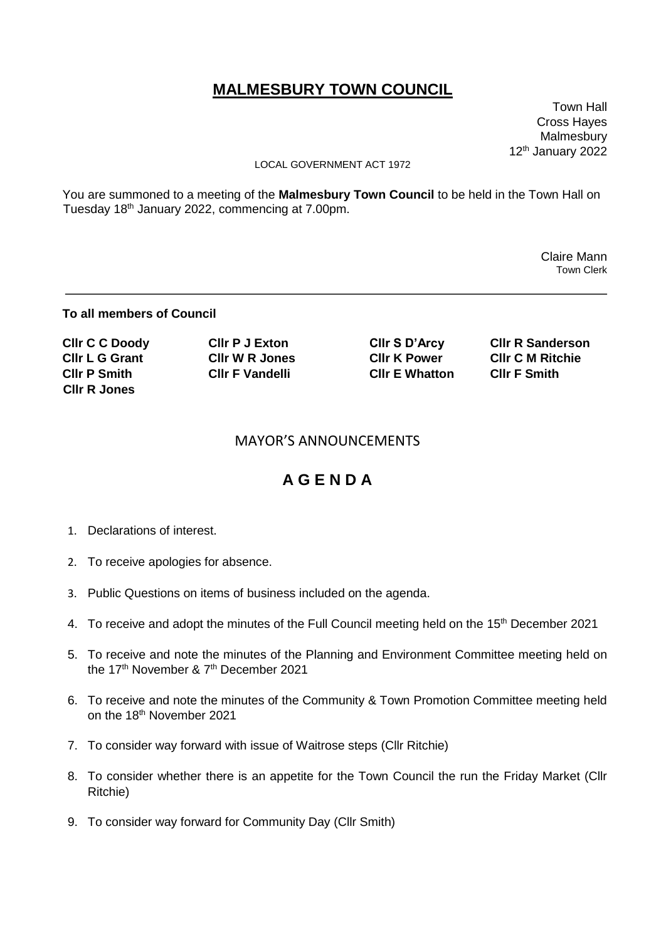# **MALMESBURY TOWN COUNCIL**

 Town Hall Cross Hayes Malmesbury 12<sup>th</sup> January 2022

#### LOCAL GOVERNMENT ACT 1972

You are summoned to a meeting of the **Malmesbury Town Council** to be held in the Town Hall on Tuesday 18th January 2022, commencing at 7.00pm.

> Claire Mann Town Clerk

#### **To all members of Council**

| <b>CIIr C C Doody</b> | <b>CIIr P J Exton</b>  | CIIr S D'Arcy         | <b>CIIr R Sanderson</b> |
|-----------------------|------------------------|-----------------------|-------------------------|
| <b>CIIr L G Grant</b> | <b>CIIr W R Jones</b>  | <b>CIIr K Power</b>   | <b>CIIr C M Ritchie</b> |
| <b>CIIr P Smith</b>   | <b>CIIr F Vandelli</b> | <b>CIIr E Whatton</b> | <b>CIIr F Smith</b>     |
| <b>CIIr R Jones</b>   |                        |                       |                         |

### MAYOR'S ANNOUNCEMENTS

## **A G E N D A**

- 1. Declarations of interest.
- 2. To receive apologies for absence.
- 3. Public Questions on items of business included on the agenda.
- 4. To receive and adopt the minutes of the Full Council meeting held on the 15<sup>th</sup> December 2021
- 5. To receive and note the minutes of the Planning and Environment Committee meeting held on the 17<sup>th</sup> November & 7<sup>th</sup> December 2021
- 6. To receive and note the minutes of the Community & Town Promotion Committee meeting held on the 18<sup>th</sup> November 2021
- 7. To consider way forward with issue of Waitrose steps (Cllr Ritchie)
- 8. To consider whether there is an appetite for the Town Council the run the Friday Market (Cllr Ritchie)
- 9. To consider way forward for Community Day (Cllr Smith)